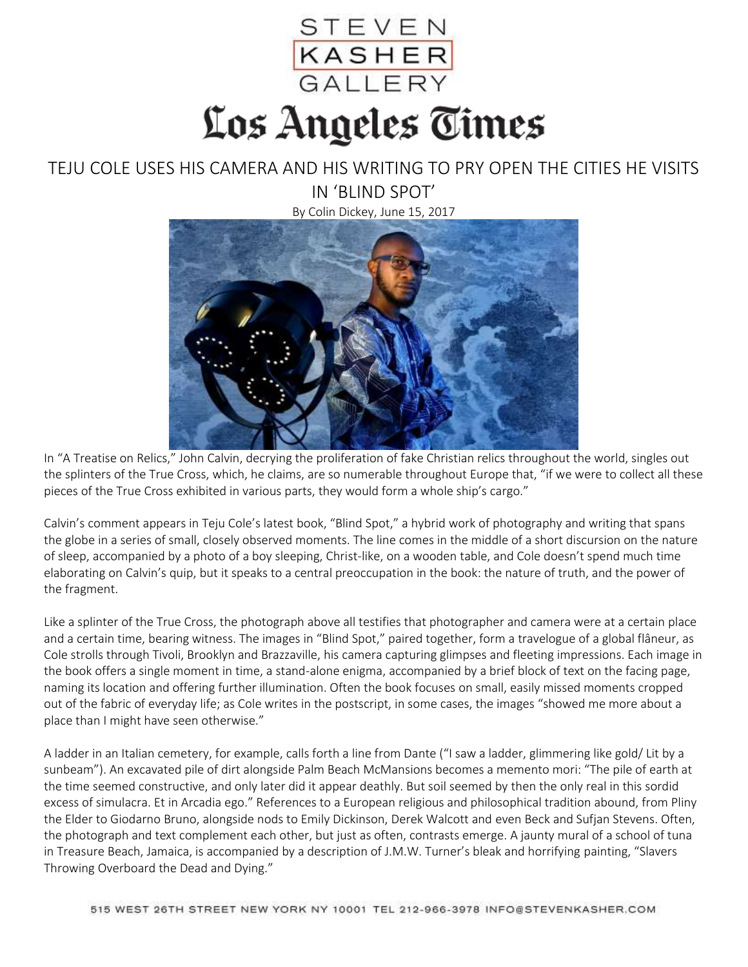

## TEJU COLE USES HIS CAMERA AND HIS WRITING TO PRY OPEN THE CITIES HE VISITS IN 'BLIND SPOT'

By Colin Dickey, June 15, 2017



In "A Treatise on Relics," John Calvin, decrying the proliferation of fake Christian relics throughout the world, singles out the splinters of the True Cross, which, he claims, are so numerable throughout Europe that, "if we were to collect all these pieces of the True Cross exhibited in various parts, they would form a whole ship's cargo."

Calvin's comment appears in Teju Cole's latest book, "Blind Spot," a hybrid work of photography and writing that spans the globe in a series of small, closely observed moments. The line comes in the middle of a short discursion on the nature of sleep, accompanied by a photo of a boy sleeping, Christ-like, on a wooden table, and Cole doesn't spend much time elaborating on Calvin's quip, but it speaks to a central preoccupation in the book: the nature of truth, and the power of the fragment.

Like a splinter of the True Cross, the photograph above all testifies that photographer and camera were at a certain place and a certain time, bearing witness. The images in "Blind Spot," paired together, form a travelogue of a global flâneur, as Cole strolls through Tivoli, Brooklyn and Brazzaville, his camera capturing glimpses and fleeting impressions. Each image in the book offers a single moment in time, a stand-alone enigma, accompanied by a brief block of text on the facing page, naming its location and offering further illumination. Often the book focuses on small, easily missed moments cropped out of the fabric of everyday life; as Cole writes in the postscript, in some cases, the images "showed me more about a place than I might have seen otherwise."

A ladder in an Italian cemetery, for example, calls forth a line from Dante ("I saw a ladder, glimmering like gold/ Lit by a sunbeam"). An excavated pile of dirt alongside Palm Beach McMansions becomes a memento mori: "The pile of earth at the time seemed constructive, and only later did it appear deathly. But soil seemed by then the only real in this sordid excess of simulacra. Et in Arcadia ego." References to a European religious and philosophical tradition abound, from Pliny the Elder to Giodarno Bruno, alongside nods to Emily Dickinson, Derek Walcott and even Beck and Sufjan Stevens. Often, the photograph and text complement each other, but just as often, contrasts emerge. A jaunty mural of a school of tuna in Treasure Beach, Jamaica, is accompanied by a description of J.M.W. Turner's bleak and horrifying painting, "Slavers Throwing Overboard the Dead and Dying."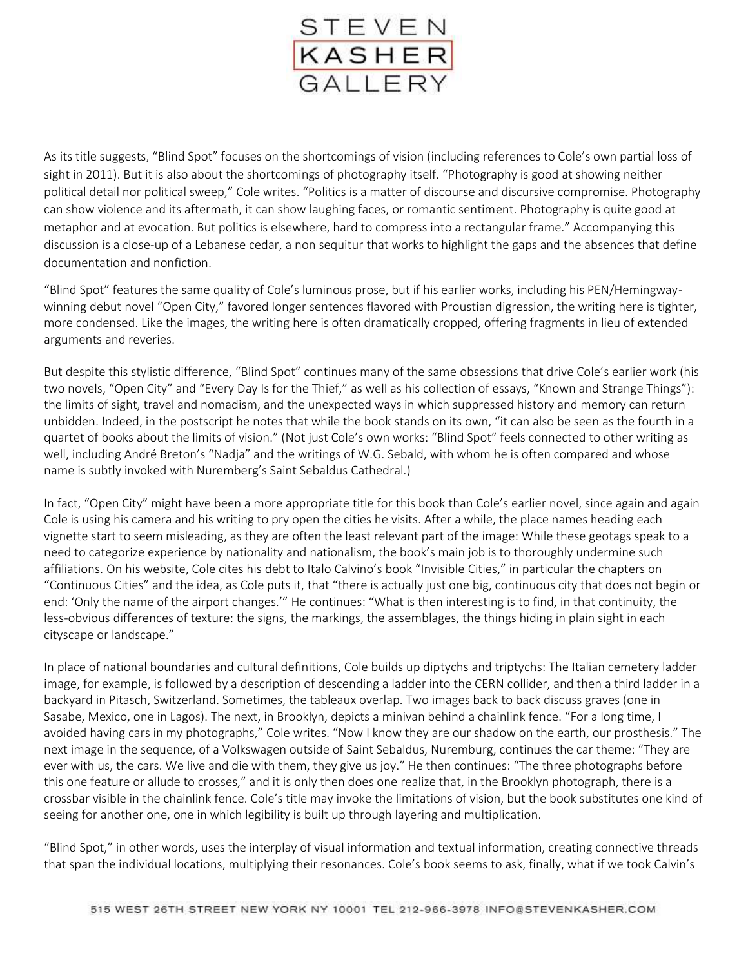

As its title suggests, "Blind Spot" focuses on the shortcomings of vision (including references to Cole's own partial loss of sight in 2011). But it is also about the shortcomings of photography itself. "Photography is good at showing neither political detail nor political sweep," Cole writes. "Politics is a matter of discourse and discursive compromise. Photography can show violence and its aftermath, it can show laughing faces, or romantic sentiment. Photography is quite good at metaphor and at evocation. But politics is elsewhere, hard to compress into a rectangular frame." Accompanying this discussion is a close-up of a Lebanese cedar, a non sequitur that works to highlight the gaps and the absences that define documentation and nonfiction.

"Blind Spot" features the same quality of Cole's luminous prose, but if his earlier works, including his PEN/Hemingwaywinning debut novel "Open City," favored longer sentences flavored with Proustian digression, the writing here is tighter, more condensed. Like the images, the writing here is often dramatically cropped, offering fragments in lieu of extended arguments and reveries.

But despite this stylistic difference, "Blind Spot" continues many of the same obsessions that drive Cole's earlier work (his two novels, "Open City" and "Every Day Is for the Thief," as well as his collection of essays, "Known and Strange Things"): the limits of sight, travel and nomadism, and the unexpected ways in which suppressed history and memory can return unbidden. Indeed, in the postscript he notes that while the book stands on its own, "it can also be seen as the fourth in a quartet of books about the limits of vision." (Not just Cole's own works: "Blind Spot" feels connected to other writing as well, including André Breton's "Nadja" and the writings of W.G. Sebald, with whom he is often compared and whose name is subtly invoked with Nuremberg's Saint Sebaldus Cathedral.)

In fact, "Open City" might have been a more appropriate title for this book than Cole's earlier novel, since again and again Cole is using his camera and his writing to pry open the cities he visits. After a while, the place names heading each vignette start to seem misleading, as they are often the least relevant part of the image: While these geotags speak to a need to categorize experience by nationality and nationalism, the book's main job is to thoroughly undermine such affiliations. On his website, Cole cites his debt to Italo Calvino's book "Invisible Cities," in particular the chapters on "Continuous Cities" and the idea, as Cole puts it, that "there is actually just one big, continuous city that does not begin or end: 'Only the name of the airport changes.'" He continues: "What is then interesting is to find, in that continuity, the less-obvious differences of texture: the signs, the markings, the assemblages, the things hiding in plain sight in each cityscape or landscape."

In place of national boundaries and cultural definitions, Cole builds up diptychs and triptychs: The Italian cemetery ladder image, for example, is followed by a description of descending a ladder into the CERN collider, and then a third ladder in a backyard in Pitasch, Switzerland. Sometimes, the tableaux overlap. Two images back to back discuss graves (one in Sasabe, Mexico, one in Lagos). The next, in Brooklyn, depicts a minivan behind a chainlink fence. "For a long time, I avoided having cars in my photographs," Cole writes. "Now I know they are our shadow on the earth, our prosthesis." The next image in the sequence, of a Volkswagen outside of Saint Sebaldus, Nuremburg, continues the car theme: "They are ever with us, the cars. We live and die with them, they give us joy." He then continues: "The three photographs before this one feature or allude to crosses," and it is only then does one realize that, in the Brooklyn photograph, there is a crossbar visible in the chainlink fence. Cole's title may invoke the limitations of vision, but the book substitutes one kind of seeing for another one, one in which legibility is built up through layering and multiplication.

"Blind Spot," in other words, uses the interplay of visual information and textual information, creating connective threads that span the individual locations, multiplying their resonances. Cole's book seems to ask, finally, what if we took Calvin's